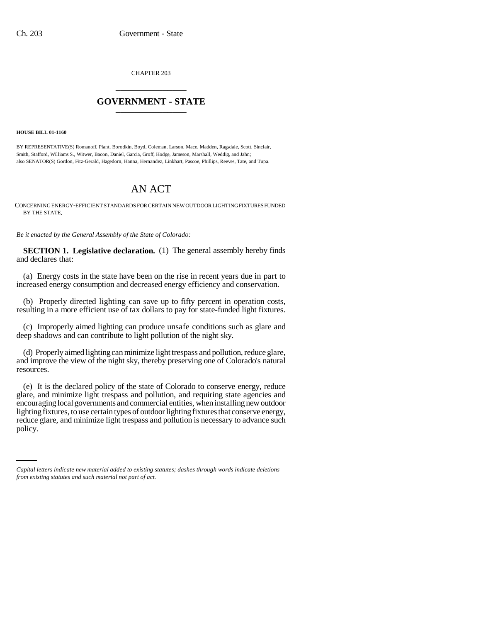CHAPTER 203 \_\_\_\_\_\_\_\_\_\_\_\_\_\_\_

## **GOVERNMENT - STATE** \_\_\_\_\_\_\_\_\_\_\_\_\_\_\_

#### **HOUSE BILL 01-1160**

BY REPRESENTATIVE(S) Romanoff, Plant, Borodkin, Boyd, Coleman, Larson, Mace, Madden, Ragsdale, Scott, Sinclair, Smith, Stafford, Williams S., Witwer, Bacon, Daniel, Garcia, Groff, Hodge, Jameson, Marshall, Weddig, and Jahn; also SENATOR(S) Gordon, Fitz-Gerald, Hagedorn, Hanna, Hernandez, Linkhart, Pascoe, Phillips, Reeves, Tate, and Tupa.

# AN ACT

CONCERNING ENERGY-EFFICIENT STANDARDS FOR CERTAIN NEW OUTDOOR LIGHTING FIXTURES FUNDED BY THE STATE.

*Be it enacted by the General Assembly of the State of Colorado:*

**SECTION 1. Legislative declaration.** (1) The general assembly hereby finds and declares that:

(a) Energy costs in the state have been on the rise in recent years due in part to increased energy consumption and decreased energy efficiency and conservation.

(b) Properly directed lighting can save up to fifty percent in operation costs, resulting in a more efficient use of tax dollars to pay for state-funded light fixtures.

(c) Improperly aimed lighting can produce unsafe conditions such as glare and deep shadows and can contribute to light pollution of the night sky.

(d) Properly aimed lighting can minimize light trespass and pollution, reduce glare, and improve the view of the night sky, thereby preserving one of Colorado's natural resources.

reduce glare, and minimize light trespass and pollution is necessary to advance such (e) It is the declared policy of the state of Colorado to conserve energy, reduce glare, and minimize light trespass and pollution, and requiring state agencies and encouraging local governments and commercial entities, when installing new outdoor lighting fixtures, to use certain types of outdoor lighting fixtures that conserve energy, policy.

*Capital letters indicate new material added to existing statutes; dashes through words indicate deletions from existing statutes and such material not part of act.*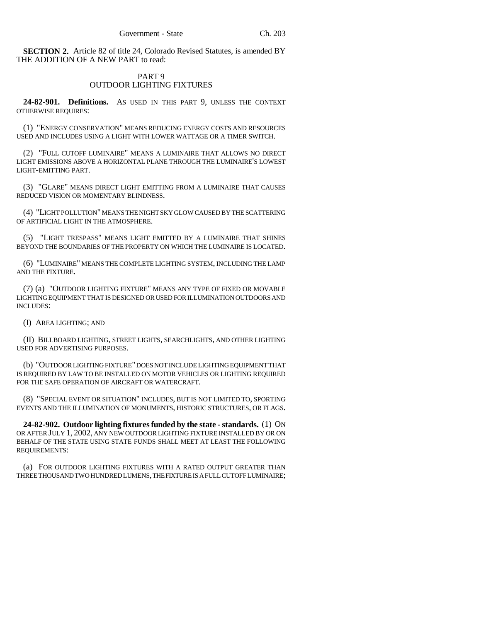**SECTION 2.** Article 82 of title 24, Colorado Revised Statutes, is amended BY THE ADDITION OF A NEW PART to read:

## PART 9 OUTDOOR LIGHTING FIXTURES

**24-82-901. Definitions.** AS USED IN THIS PART 9, UNLESS THE CONTEXT OTHERWISE REQUIRES:

(1) "ENERGY CONSERVATION" MEANS REDUCING ENERGY COSTS AND RESOURCES USED AND INCLUDES USING A LIGHT WITH LOWER WATTAGE OR A TIMER SWITCH.

(2) "FULL CUTOFF LUMINAIRE" MEANS A LUMINAIRE THAT ALLOWS NO DIRECT LIGHT EMISSIONS ABOVE A HORIZONTAL PLANE THROUGH THE LUMINAIRE'S LOWEST LIGHT-EMITTING PART.

(3) "GLARE" MEANS DIRECT LIGHT EMITTING FROM A LUMINAIRE THAT CAUSES REDUCED VISION OR MOMENTARY BLINDNESS.

(4) "LIGHT POLLUTION" MEANS THE NIGHT SKY GLOW CAUSED BY THE SCATTERING OF ARTIFICIAL LIGHT IN THE ATMOSPHERE.

(5) "LIGHT TRESPASS" MEANS LIGHT EMITTED BY A LUMINAIRE THAT SHINES BEYOND THE BOUNDARIES OF THE PROPERTY ON WHICH THE LUMINAIRE IS LOCATED.

(6) "LUMINAIRE" MEANS THE COMPLETE LIGHTING SYSTEM, INCLUDING THE LAMP AND THE FIXTURE.

(7) (a) "OUTDOOR LIGHTING FIXTURE" MEANS ANY TYPE OF FIXED OR MOVABLE LIGHTING EQUIPMENT THAT IS DESIGNED OR USED FOR ILLUMINATION OUTDOORS AND INCLUDES:

(I) AREA LIGHTING; AND

(II) BILLBOARD LIGHTING, STREET LIGHTS, SEARCHLIGHTS, AND OTHER LIGHTING USED FOR ADVERTISING PURPOSES.

(b) "OUTDOOR LIGHTING FIXTURE" DOES NOT INCLUDE LIGHTING EQUIPMENT THAT IS REQUIRED BY LAW TO BE INSTALLED ON MOTOR VEHICLES OR LIGHTING REQUIRED FOR THE SAFE OPERATION OF AIRCRAFT OR WATERCRAFT.

(8) "SPECIAL EVENT OR SITUATION" INCLUDES, BUT IS NOT LIMITED TO, SPORTING EVENTS AND THE ILLUMINATION OF MONUMENTS, HISTORIC STRUCTURES, OR FLAGS.

**24-82-902. Outdoor lighting fixtures funded by the state - standards.** (1) ON OR AFTER JULY 1, 2002, ANY NEW OUTDOOR LIGHTING FIXTURE INSTALLED BY OR ON BEHALF OF THE STATE USING STATE FUNDS SHALL MEET AT LEAST THE FOLLOWING REQUIREMENTS:

(a) FOR OUTDOOR LIGHTING FIXTURES WITH A RATED OUTPUT GREATER THAN THREE THOUSAND TWO HUNDRED LUMENS, THE FIXTURE IS A FULL CUTOFF LUMINAIRE;